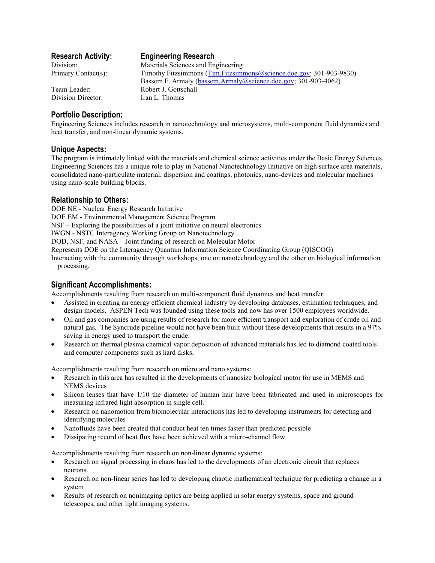| <b>Research Activity:</b> | <b>Engineering Research</b>                                          |
|---------------------------|----------------------------------------------------------------------|
| Division:                 | Materials Sciences and Engineering                                   |
| Primary Contact(s):       | Timothy Fitzsimmons (Tim.Fitzsimmons @science.doe.gov; 301-903-9830) |
|                           | Bassem F. Armaly (bassem.Armaly@science.doe.gov; 301-903-4062)       |
| Team Leader:              | Robert J. Gottschall                                                 |

Division Director: Iran L. Thomas

### **Portfolio Description:**

Engineering Sciences includes research in nanotechnology and microsystems, multi-component fluid dynamics and heat transfer, and non-linear dynamic systems.

### **Unique Aspects:**

The program is intimately linked with the materials and chemical science activities under the Basic Energy Sciences. Engineering Sciences has a unique role to play in National Nanotechnology Initiative on high surface area materials, consolidated nano-particulate material, dispersion and coatings, photonics, nano-devices and molecular machines using nano-scale building blocks.

## **Relationship to Others:**

DOE NE - Nuclear Energy Research Initiative DOE EM - Environmental Management Science Program NSF – Exploring the possibilities of a joint initiative on neural electronics IWGN - NSTC Interagency Working Group on Nanotechnology DOD, NSF, and NASA – Joint funding of research on Molecular Motor Represents DOE on the Interagency Quantum Information Science Coordinating Group (QISCOG) Interacting with the community through workshops, one on nanotechnology and the other on biological information processing.

# **Significant Accomplishments:**

Accomplishments resulting from research on multi-component fluid dynamics and heat transfer:

- Assisted in creating an energy efficient chemical industry by developing databases, estimation techniques, and design models. ASPEN Tech was founded using these tools and now has over 1500 employees worldwide.
- Oil and gas companies are using results of research for more efficient transport and exploration of crude oil and natural gas. The Syncrude pipeline would not have been built without these developments that results in a 97% saving in energy used to transport the crude.
- Research on thermal plasma chemical vapor deposition of advanced materials has led to diamond coated tools and computer components such as hard disks.

Accomplishments resulting from research on micro and nano systems:

- Research in this area has resulted in the developments of nanosize biological motor for use in MEMS and NEMS devices
- Silicon lenses that have 1/10 the diameter of human hair have been fabricated and used in microscopes for measuring infrared light absorption in single cell.
- Research on nanomotion from biomolecular interactions has led to developing instruments for detecting and identifying molecules
- Nanofluids have been created that conduct heat ten times faster than predicted possible
- Dissipating record of heat flux have been achieved with a micro-channel flow

Accomplishments resulting from research on non-linear dynamic systems:

- Research on signal processing in chaos has led to the developments of an electronic circuit that replaces neurons.
- Research on non-linear series has led to developing chaotic mathematical technique for predicting a change in a system
- Results of research on nonimaging optics are being applied in solar energy systems, space and ground telescopes, and other light imaging systems.

## **search**